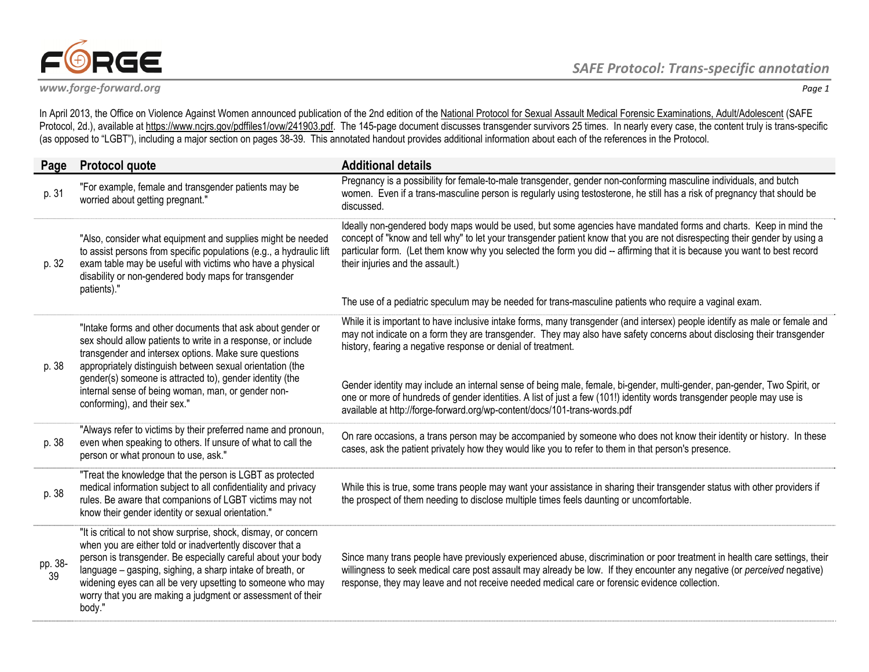

In April 2013, the Office on Violence Against Women announced publication of the 2nd edition of the National Protocol for Sexual Assault Medical Forensic Examinations, Adult/Adolescent (SAFE Protocol, 2d.), available at <u>https://www.ncjrs.gov/pdffiles1/ovw/241903.pdf</u>. The 145-page document discusses transgender survivors 25 times. In nearly every case, the content truly is trans-specific (as opposed to "LGBT"), including a major section on pages 38-39. This annotated handout provides additional information about each of the references in the Protocol.

| Page          | <b>Protocol quote</b>                                                                                                                                                                                                                                                                                                                                                                              | <b>Additional details</b>                                                                                                                                                                                                                                                                                                                                                                                                                                                                                                                                                                                                                                |
|---------------|----------------------------------------------------------------------------------------------------------------------------------------------------------------------------------------------------------------------------------------------------------------------------------------------------------------------------------------------------------------------------------------------------|----------------------------------------------------------------------------------------------------------------------------------------------------------------------------------------------------------------------------------------------------------------------------------------------------------------------------------------------------------------------------------------------------------------------------------------------------------------------------------------------------------------------------------------------------------------------------------------------------------------------------------------------------------|
| p. 31         | "For example, female and transgender patients may be<br>worried about getting pregnant."                                                                                                                                                                                                                                                                                                           | Pregnancy is a possibility for female-to-male transgender, gender non-conforming masculine individuals, and butch<br>women. Even if a trans-masculine person is regularly using testosterone, he still has a risk of pregnancy that should be<br>discussed.                                                                                                                                                                                                                                                                                                                                                                                              |
| p. 32         | "Also, consider what equipment and supplies might be needed<br>to assist persons from specific populations (e.g., a hydraulic lift<br>exam table may be useful with victims who have a physical<br>disability or non-gendered body maps for transgender<br>patients)."                                                                                                                             | Ideally non-gendered body maps would be used, but some agencies have mandated forms and charts. Keep in mind the<br>concept of "know and tell why" to let your transgender patient know that you are not disrespecting their gender by using a<br>particular form. (Let them know why you selected the form you did -- affirming that it is because you want to best record<br>their injuries and the assault.)<br>The use of a pediatric speculum may be needed for trans-masculine patients who require a vaginal exam.                                                                                                                                |
| p. 38         | "Intake forms and other documents that ask about gender or<br>sex should allow patients to write in a response, or include<br>transgender and intersex options. Make sure questions<br>appropriately distinguish between sexual orientation (the<br>gender(s) someone is attracted to), gender identity (the<br>internal sense of being woman, man, or gender non-<br>conforming), and their sex." | While it is important to have inclusive intake forms, many transgender (and intersex) people identify as male or female and<br>may not indicate on a form they are transgender. They may also have safety concerns about disclosing their transgender<br>history, fearing a negative response or denial of treatment.<br>Gender identity may include an internal sense of being male, female, bi-gender, multi-gender, pan-gender, Two Spirit, or<br>one or more of hundreds of gender identities. A list of just a few (101!) identity words transgender people may use is<br>available at http://forge-forward.org/wp-content/docs/101-trans-words.pdf |
| p. 38         | "Always refer to victims by their preferred name and pronoun,<br>even when speaking to others. If unsure of what to call the<br>person or what pronoun to use, ask."                                                                                                                                                                                                                               | On rare occasions, a trans person may be accompanied by someone who does not know their identity or history. In these<br>cases, ask the patient privately how they would like you to refer to them in that person's presence.                                                                                                                                                                                                                                                                                                                                                                                                                            |
| p. 38         | "Treat the knowledge that the person is LGBT as protected<br>medical information subject to all confidentiality and privacy<br>rules. Be aware that companions of LGBT victims may not<br>know their gender identity or sexual orientation."                                                                                                                                                       | While this is true, some trans people may want your assistance in sharing their transgender status with other providers if<br>the prospect of them needing to disclose multiple times feels daunting or uncomfortable.                                                                                                                                                                                                                                                                                                                                                                                                                                   |
| pp. 38-<br>39 | "It is critical to not show surprise, shock, dismay, or concern<br>when you are either told or inadvertently discover that a<br>person is transgender. Be especially careful about your body<br>language - gasping, sighing, a sharp intake of breath, or<br>widening eyes can all be very upsetting to someone who may<br>worry that you are making a judgment or assessment of their<br>body."   | Since many trans people have previously experienced abuse, discrimination or poor treatment in health care settings, their<br>willingness to seek medical care post assault may already be low. If they encounter any negative (or perceived negative)<br>response, they may leave and not receive needed medical care or forensic evidence collection.                                                                                                                                                                                                                                                                                                  |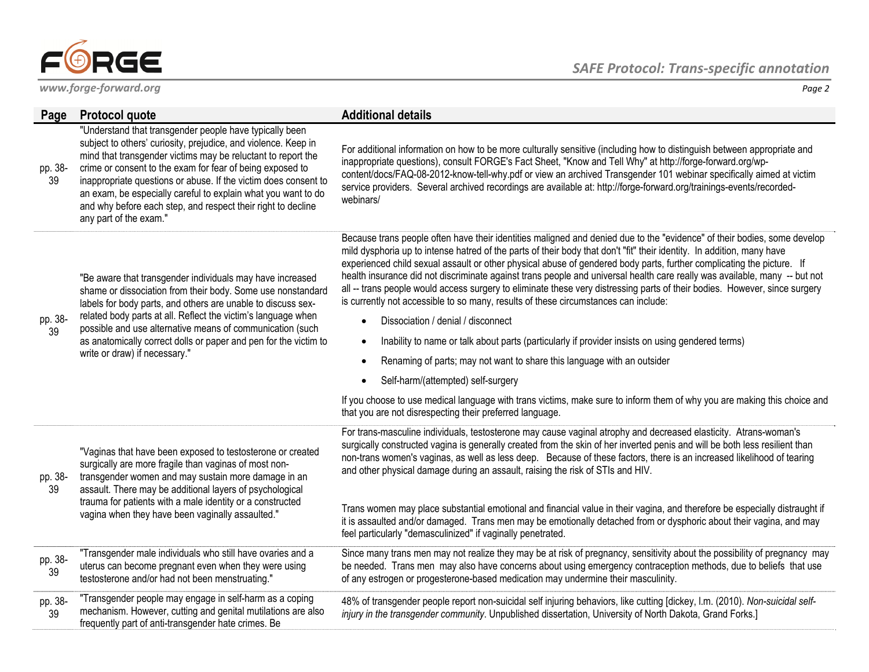

frequently part of anti-transgender hate crimes. Be

| Page          | <b>Protocol quote</b>                                                                                                                                                                                                                                                                                                                                                                                                                                                                | <b>Additional details</b>                                                                                                                                                                                                                                                                                                                                                                                                                                                                                                                                                                                                                                                                                                                                                                                                                                                                                                                                                                                                                                                                                                                                                                      |
|---------------|--------------------------------------------------------------------------------------------------------------------------------------------------------------------------------------------------------------------------------------------------------------------------------------------------------------------------------------------------------------------------------------------------------------------------------------------------------------------------------------|------------------------------------------------------------------------------------------------------------------------------------------------------------------------------------------------------------------------------------------------------------------------------------------------------------------------------------------------------------------------------------------------------------------------------------------------------------------------------------------------------------------------------------------------------------------------------------------------------------------------------------------------------------------------------------------------------------------------------------------------------------------------------------------------------------------------------------------------------------------------------------------------------------------------------------------------------------------------------------------------------------------------------------------------------------------------------------------------------------------------------------------------------------------------------------------------|
| pp. 38-<br>39 | "Understand that transgender people have typically been<br>subject to others' curiosity, prejudice, and violence. Keep in<br>mind that transgender victims may be reluctant to report the<br>crime or consent to the exam for fear of being exposed to<br>inappropriate questions or abuse. If the victim does consent to<br>an exam, be especially careful to explain what you want to do<br>and why before each step, and respect their right to decline<br>any part of the exam." | For additional information on how to be more culturally sensitive (including how to distinguish between appropriate and<br>inappropriate questions), consult FORGE's Fact Sheet, "Know and Tell Why" at http://forge-forward.org/wp-<br>content/docs/FAQ-08-2012-know-tell-why.pdf or view an archived Transgender 101 webinar specifically aimed at victim<br>service providers. Several archived recordings are available at: http://forge-forward.org/trainings-events/recorded-<br>webinars/                                                                                                                                                                                                                                                                                                                                                                                                                                                                                                                                                                                                                                                                                               |
| pp. 38-<br>39 | "Be aware that transgender individuals may have increased<br>shame or dissociation from their body. Some use nonstandard<br>labels for body parts, and others are unable to discuss sex-<br>related body parts at all. Reflect the victim's language when<br>possible and use alternative means of communication (such<br>as anatomically correct dolls or paper and pen for the victim to<br>write or draw) if necessary."                                                          | Because trans people often have their identities maligned and denied due to the "evidence" of their bodies, some develop<br>mild dysphoria up to intense hatred of the parts of their body that don't "fit" their identity. In addition, many have<br>experienced child sexual assault or other physical abuse of gendered body parts, further complicating the picture. If<br>health insurance did not discriminate against trans people and universal health care really was available, many -- but not<br>all -- trans people would access surgery to eliminate these very distressing parts of their bodies. However, since surgery<br>is currently not accessible to so many, results of these circumstances can include:<br>Dissociation / denial / disconnect<br>Inability to name or talk about parts (particularly if provider insists on using gendered terms)<br>$\bullet$<br>Renaming of parts; may not want to share this language with an outsider<br>Self-harm/(attempted) self-surgery<br>If you choose to use medical language with trans victims, make sure to inform them of why you are making this choice and<br>that you are not disrespecting their preferred language. |
| pp. 38-<br>39 | "Vaginas that have been exposed to testosterone or created<br>surgically are more fragile than vaginas of most non-<br>transgender women and may sustain more damage in an<br>assault. There may be additional layers of psychological<br>trauma for patients with a male identity or a constructed<br>vagina when they have been vaginally assaulted."                                                                                                                              | For trans-masculine individuals, testosterone may cause vaginal atrophy and decreased elasticity. Atrans-woman's<br>surgically constructed vagina is generally created from the skin of her inverted penis and will be both less resilient than<br>non-trans women's vaginas, as well as less deep. Because of these factors, there is an increased likelihood of tearing<br>and other physical damage during an assault, raising the risk of STIs and HIV.<br>Trans women may place substantial emotional and financial value in their vagina, and therefore be especially distraught if<br>it is assaulted and/or damaged. Trans men may be emotionally detached from or dysphoric about their vagina, and may<br>feel particularly "demasculinized" if vaginally penetrated.                                                                                                                                                                                                                                                                                                                                                                                                                |
| pp. 38-<br>39 | "Transgender male individuals who still have ovaries and a<br>uterus can become pregnant even when they were using<br>testosterone and/or had not been menstruating."                                                                                                                                                                                                                                                                                                                | Since many trans men may not realize they may be at risk of pregnancy, sensitivity about the possibility of pregnancy may<br>be needed. Trans men may also have concerns about using emergency contraception methods, due to beliefs that use<br>of any estrogen or progesterone-based medication may undermine their masculinity.                                                                                                                                                                                                                                                                                                                                                                                                                                                                                                                                                                                                                                                                                                                                                                                                                                                             |
| pp. 38-<br>39 | "Transgender people may engage in self-harm as a coping<br>mechanism. However, cutting and genital mutilations are also                                                                                                                                                                                                                                                                                                                                                              | 48% of transgender people report non-suicidal self injuring behaviors, like cutting [dickey, l.m. (2010). Non-suicidal self-<br>injury in the transgender community. Unpublished dissertation, University of North Dakota, Grand Forks.]                                                                                                                                                                                                                                                                                                                                                                                                                                                                                                                                                                                                                                                                                                                                                                                                                                                                                                                                                       |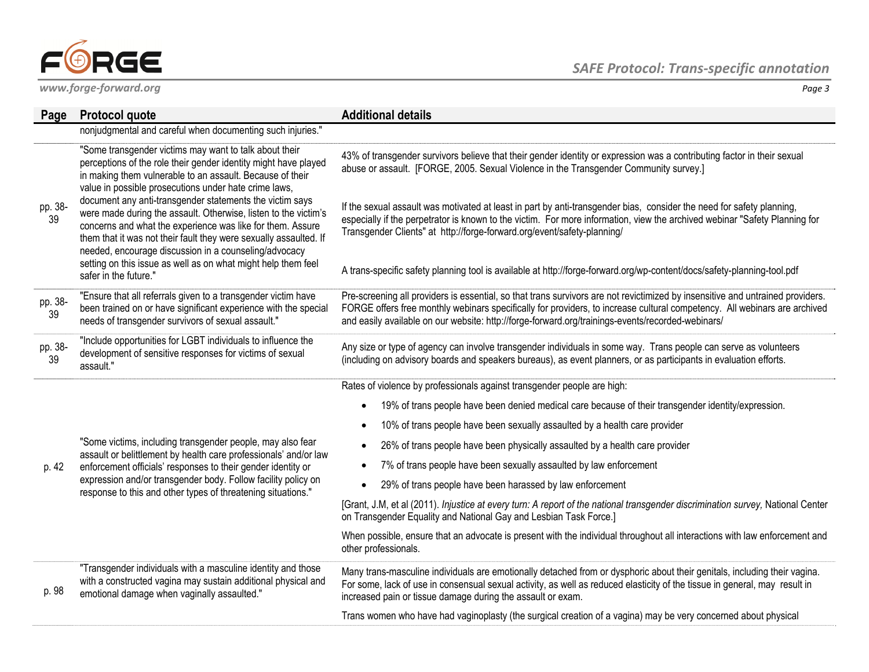

| Page          | <b>Protocol quote</b>                                                                                                                                                                                                                                                                                                                                                                                                                                                                                                                                                                                                                                                | <b>Additional details</b>                                                                                                                                                                                                                                                                                                                                                                                                                                 |
|---------------|----------------------------------------------------------------------------------------------------------------------------------------------------------------------------------------------------------------------------------------------------------------------------------------------------------------------------------------------------------------------------------------------------------------------------------------------------------------------------------------------------------------------------------------------------------------------------------------------------------------------------------------------------------------------|-----------------------------------------------------------------------------------------------------------------------------------------------------------------------------------------------------------------------------------------------------------------------------------------------------------------------------------------------------------------------------------------------------------------------------------------------------------|
|               | nonjudgmental and careful when documenting such injuries."                                                                                                                                                                                                                                                                                                                                                                                                                                                                                                                                                                                                           |                                                                                                                                                                                                                                                                                                                                                                                                                                                           |
| pp. 38-<br>39 | "Some transgender victims may want to talk about their<br>perceptions of the role their gender identity might have played<br>in making them vulnerable to an assault. Because of their<br>value in possible prosecutions under hate crime laws,<br>document any anti-transgender statements the victim says<br>were made during the assault. Otherwise, listen to the victim's<br>concerns and what the experience was like for them. Assure<br>them that it was not their fault they were sexually assaulted. If<br>needed, encourage discussion in a counseling/advocacy<br>setting on this issue as well as on what might help them feel<br>safer in the future." | 43% of transgender survivors believe that their gender identity or expression was a contributing factor in their sexual<br>abuse or assault. [FORGE, 2005. Sexual Violence in the Transgender Community survey.]                                                                                                                                                                                                                                          |
|               |                                                                                                                                                                                                                                                                                                                                                                                                                                                                                                                                                                                                                                                                      | If the sexual assault was motivated at least in part by anti-transgender bias, consider the need for safety planning,<br>especially if the perpetrator is known to the victim. For more information, view the archived webinar "Safety Planning for<br>Transgender Clients" at http://forge-forward.org/event/safety-planning/<br>A trans-specific safety planning tool is available at http://forge-forward.org/wp-content/docs/safety-planning-tool.pdf |
|               |                                                                                                                                                                                                                                                                                                                                                                                                                                                                                                                                                                                                                                                                      |                                                                                                                                                                                                                                                                                                                                                                                                                                                           |
| pp. 38-<br>39 | "Ensure that all referrals given to a transgender victim have<br>been trained on or have significant experience with the special<br>needs of transgender survivors of sexual assault."                                                                                                                                                                                                                                                                                                                                                                                                                                                                               | Pre-screening all providers is essential, so that trans survivors are not revictimized by insensitive and untrained providers.<br>FORGE offers free monthly webinars specifically for providers, to increase cultural competency. All webinars are archived<br>and easily available on our website: http://forge-forward.org/trainings-events/recorded-webinars/                                                                                          |
| pp. 38-<br>39 | "Include opportunities for LGBT individuals to influence the<br>development of sensitive responses for victims of sexual<br>assault."                                                                                                                                                                                                                                                                                                                                                                                                                                                                                                                                | Any size or type of agency can involve transgender individuals in some way. Trans people can serve as volunteers<br>(including on advisory boards and speakers bureaus), as event planners, or as participants in evaluation efforts.                                                                                                                                                                                                                     |
|               | "Some victims, including transgender people, may also fear<br>assault or belittlement by health care professionals' and/or law<br>enforcement officials' responses to their gender identity or<br>expression and/or transgender body. Follow facility policy on<br>response to this and other types of threatening situations."                                                                                                                                                                                                                                                                                                                                      | Rates of violence by professionals against transgender people are high:                                                                                                                                                                                                                                                                                                                                                                                   |
|               |                                                                                                                                                                                                                                                                                                                                                                                                                                                                                                                                                                                                                                                                      | 19% of trans people have been denied medical care because of their transgender identity/expression.<br>$\bullet$                                                                                                                                                                                                                                                                                                                                          |
|               |                                                                                                                                                                                                                                                                                                                                                                                                                                                                                                                                                                                                                                                                      | 10% of trans people have been sexually assaulted by a health care provider                                                                                                                                                                                                                                                                                                                                                                                |
|               |                                                                                                                                                                                                                                                                                                                                                                                                                                                                                                                                                                                                                                                                      | 26% of trans people have been physically assaulted by a health care provider                                                                                                                                                                                                                                                                                                                                                                              |
| p. 42         |                                                                                                                                                                                                                                                                                                                                                                                                                                                                                                                                                                                                                                                                      | 7% of trans people have been sexually assaulted by law enforcement                                                                                                                                                                                                                                                                                                                                                                                        |
|               |                                                                                                                                                                                                                                                                                                                                                                                                                                                                                                                                                                                                                                                                      | 29% of trans people have been harassed by law enforcement<br>$\bullet$                                                                                                                                                                                                                                                                                                                                                                                    |
|               |                                                                                                                                                                                                                                                                                                                                                                                                                                                                                                                                                                                                                                                                      | [Grant, J.M, et al (2011). Injustice at every turn: A report of the national transgender discrimination survey, National Center<br>on Transgender Equality and National Gay and Lesbian Task Force.]                                                                                                                                                                                                                                                      |
|               |                                                                                                                                                                                                                                                                                                                                                                                                                                                                                                                                                                                                                                                                      | When possible, ensure that an advocate is present with the individual throughout all interactions with law enforcement and<br>other professionals.                                                                                                                                                                                                                                                                                                        |
| p. 98         | "Transgender individuals with a masculine identity and those<br>with a constructed vagina may sustain additional physical and<br>emotional damage when vaginally assaulted."                                                                                                                                                                                                                                                                                                                                                                                                                                                                                         | Many trans-masculine individuals are emotionally detached from or dysphoric about their genitals, including their vagina.<br>For some, lack of use in consensual sexual activity, as well as reduced elasticity of the tissue in general, may result in<br>increased pain or tissue damage during the assault or exam.                                                                                                                                    |
|               |                                                                                                                                                                                                                                                                                                                                                                                                                                                                                                                                                                                                                                                                      | Trans women who have had vaginoplasty (the surgical creation of a vagina) may be very concerned about physical                                                                                                                                                                                                                                                                                                                                            |